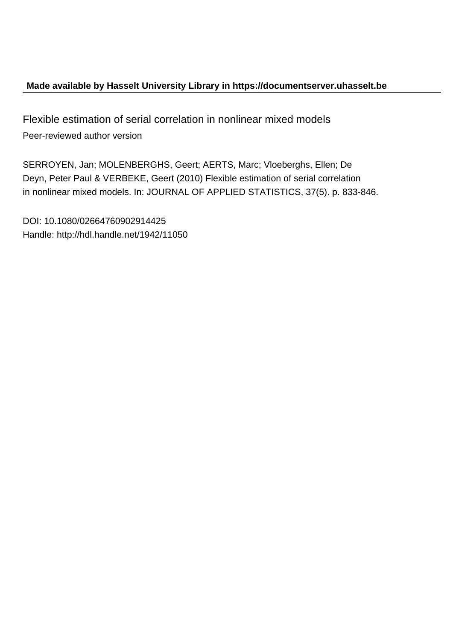# **Made available by Hasselt University Library in https://documentserver.uhasselt.be**

Flexible estimation of serial correlation in nonlinear mixed models Peer-reviewed author version

SERROYEN, Jan; MOLENBERGHS, Geert; AERTS, Marc; Vloeberghs, Ellen; De Deyn, Peter Paul & VERBEKE, Geert (2010) Flexible estimation of serial correlation in nonlinear mixed models. In: JOURNAL OF APPLIED STATISTICS, 37(5). p. 833-846.

DOI: 10.1080/02664760902914425 Handle: http://hdl.handle.net/1942/11050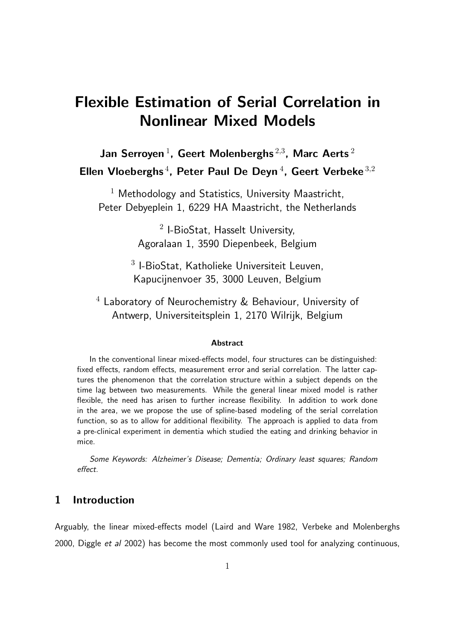# Flexible Estimation of Serial Correlation in Nonlinear Mixed Models

Jan Serroyen<sup>1</sup>, Geert Molenberghs<sup>2,3</sup>, Marc Aerts<sup>2</sup> Ellen Vloeberghs<sup>4</sup>, Peter Paul De Deyn<sup>4</sup>, Geert Verbeke<sup>3,2</sup>

 $1$  Methodology and Statistics, University Maastricht, Peter Debyeplein 1, 6229 HA Maastricht, the Netherlands

> $^2$  I-BioStat, Hasselt University, Agoralaan 1, 3590 Diepenbeek, Belgium

 $^3$  I-BioStat, Katholieke Universiteit Leuven, Kapucijnenvoer 35, 3000 Leuven, Belgium

<sup>4</sup> Laboratory of Neurochemistry & Behaviour, University of Antwerp, Universiteitsplein 1, 2170 Wilrijk, Belgium

#### **Abstract**

In the conventional linear mixed-effects model, four structures can be distinguished: fixed effects, random effects, measurement error and serial correlation. The latter captures the phenomenon that the correlation structure within a subject depends on the time lag between two measurements. While the general linear mixed model is rather flexible, the need has arisen to further increase flexibility. In addition to work done in the area, we we propose the use of spline-based modeling of the serial correlation function, so as to allow for additional flexibility. The approach is applied to data from a pre-clinical experiment in dementia which studied the eating and drinking behavior in mice.

Some Keywords: Alzheimer's Disease; Dementia; Ordinary least squares; Random effect.

# 1 Introduction

Arguably, the linear mixed-effects model (Laird and Ware 1982, Verbeke and Molenberghs 2000, Diggle et al 2002) has become the most commonly used tool for analyzing continuous,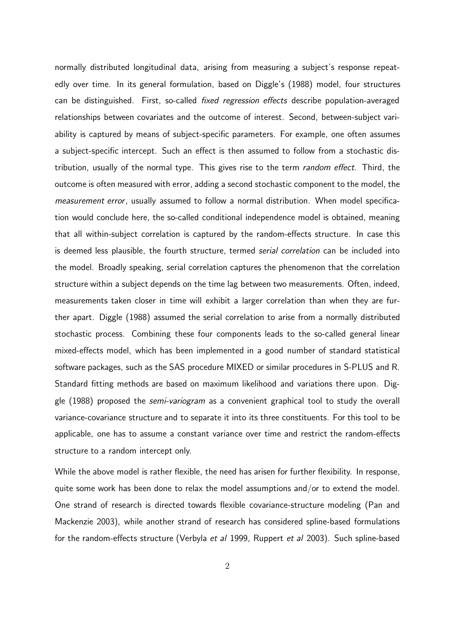normally distributed longitudinal data, arising from measuring a subject's response repeatedly over time. In its general formulation, based on Diggle's (1988) model, four structures can be distinguished. First, so-called fixed regression effects describe population-averaged relationships between covariates and the outcome of interest. Second, between-subject variability is captured by means of subject-specific parameters. For example, one often assumes a subject-specific intercept. Such an effect is then assumed to follow from a stochastic distribution, usually of the normal type. This gives rise to the term random effect. Third, the outcome is often measured with error, adding a second stochastic component to the model, the measurement error, usually assumed to follow a normal distribution. When model specification would conclude here, the so-called conditional independence model is obtained, meaning that all within-subject correlation is captured by the random-effects structure. In case this is deemed less plausible, the fourth structure, termed *serial correlation* can be included into the model. Broadly speaking, serial correlation captures the phenomenon that the correlation structure within a subject depends on the time lag between two measurements. Often, indeed, measurements taken closer in time will exhibit a larger correlation than when they are further apart. Diggle (1988) assumed the serial correlation to arise from a normally distributed stochastic process. Combining these four components leads to the so-called general linear mixed-effects model, which has been implemented in a good number of standard statistical software packages, such as the SAS procedure MIXED or similar procedures in S-PLUS and R. Standard fitting methods are based on maximum likelihood and variations there upon. Diggle (1988) proposed the semi-variogram as a convenient graphical tool to study the overall variance-covariance structure and to separate it into its three constituents. For this tool to be applicable, one has to assume a constant variance over time and restrict the random-effects structure to a random intercept only.

While the above model is rather flexible, the need has arisen for further flexibility. In response, quite some work has been done to relax the model assumptions and/or to extend the model. One strand of research is directed towards flexible covariance-structure modeling (Pan and Mackenzie 2003), while another strand of research has considered spline-based formulations for the random-effects structure (Verbyla et al 1999, Ruppert et al 2003). Such spline-based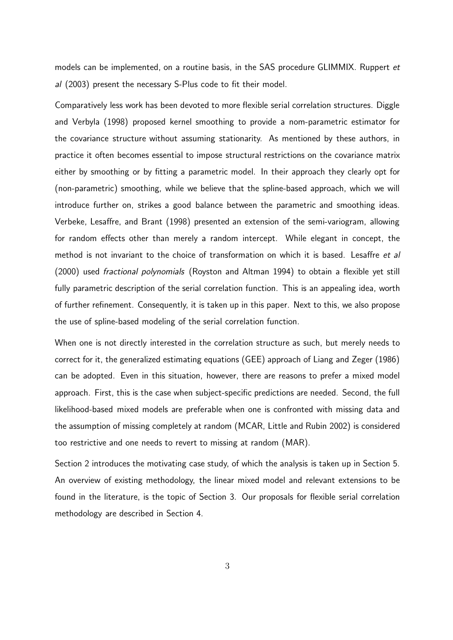models can be implemented, on a routine basis, in the SAS procedure GLIMMIX. Ruppert et al (2003) present the necessary S-Plus code to fit their model.

Comparatively less work has been devoted to more flexible serial correlation structures. Diggle and Verbyla (1998) proposed kernel smoothing to provide a nom-parametric estimator for the covariance structure without assuming stationarity. As mentioned by these authors, in practice it often becomes essential to impose structural restrictions on the covariance matrix either by smoothing or by fitting a parametric model. In their approach they clearly opt for (non-parametric) smoothing, while we believe that the spline-based approach, which we will introduce further on, strikes a good balance between the parametric and smoothing ideas. Verbeke, Lesaffre, and Brant (1998) presented an extension of the semi-variogram, allowing for random effects other than merely a random intercept. While elegant in concept, the method is not invariant to the choice of transformation on which it is based. Lesaffre et al (2000) used fractional polynomials (Royston and Altman 1994) to obtain a flexible yet still fully parametric description of the serial correlation function. This is an appealing idea, worth of further refinement. Consequently, it is taken up in this paper. Next to this, we also propose the use of spline-based modeling of the serial correlation function.

When one is not directly interested in the correlation structure as such, but merely needs to correct for it, the generalized estimating equations (GEE) approach of Liang and Zeger (1986) can be adopted. Even in this situation, however, there are reasons to prefer a mixed model approach. First, this is the case when subject-specific predictions are needed. Second, the full likelihood-based mixed models are preferable when one is confronted with missing data and the assumption of missing completely at random (MCAR, Little and Rubin 2002) is considered too restrictive and one needs to revert to missing at random (MAR).

Section 2 introduces the motivating case study, of which the analysis is taken up in Section 5. An overview of existing methodology, the linear mixed model and relevant extensions to be found in the literature, is the topic of Section 3. Our proposals for flexible serial correlation methodology are described in Section 4.

3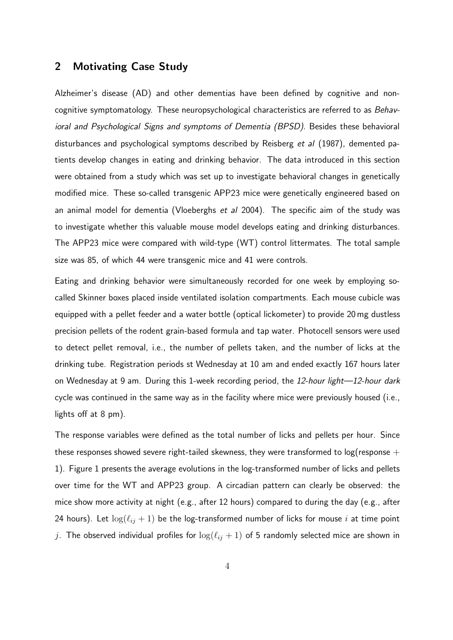### 2 Motivating Case Study

Alzheimer's disease (AD) and other dementias have been defined by cognitive and noncognitive symptomatology. These neuropsychological characteristics are referred to as Behavioral and Psychological Signs and symptoms of Dementia (BPSD). Besides these behavioral disturbances and psychological symptoms described by Reisberg *et al* (1987), demented patients develop changes in eating and drinking behavior. The data introduced in this section were obtained from a study which was set up to investigate behavioral changes in genetically modified mice. These so-called transgenic APP23 mice were genetically engineered based on an animal model for dementia (Vloeberghs *et al* 2004). The specific aim of the study was to investigate whether this valuable mouse model develops eating and drinking disturbances. The APP23 mice were compared with wild-type (WT) control littermates. The total sample size was 85, of which 44 were transgenic mice and 41 were controls.

Eating and drinking behavior were simultaneously recorded for one week by employing socalled Skinner boxes placed inside ventilated isolation compartments. Each mouse cubicle was equipped with a pellet feeder and a water bottle (optical lickometer) to provide 20 mg dustless precision pellets of the rodent grain-based formula and tap water. Photocell sensors were used to detect pellet removal, i.e., the number of pellets taken, and the number of licks at the drinking tube. Registration periods st Wednesday at 10 am and ended exactly 167 hours later on Wednesday at 9 am. During this 1-week recording period, the 12-hour light-12-hour dark cycle was continued in the same way as in the facility where mice were previously housed (i.e., lights off at 8 pm).

The response variables were defined as the total number of licks and pellets per hour. Since these responses showed severe right-tailed skewness, they were transformed to  $log(res$  ponse  $+$ 1). Figure 1 presents the average evolutions in the log-transformed number of licks and pellets over time for the WT and APP23 group. A circadian pattern can clearly be observed: the mice show more activity at night (e.g., after 12 hours) compared to during the day (e.g., after 24 hours). Let  $\log(\ell_{ij} + 1)$  be the log-transformed number of licks for mouse i at time point j. The observed individual profiles for  $\log(\ell_{ij} + 1)$  of 5 randomly selected mice are shown in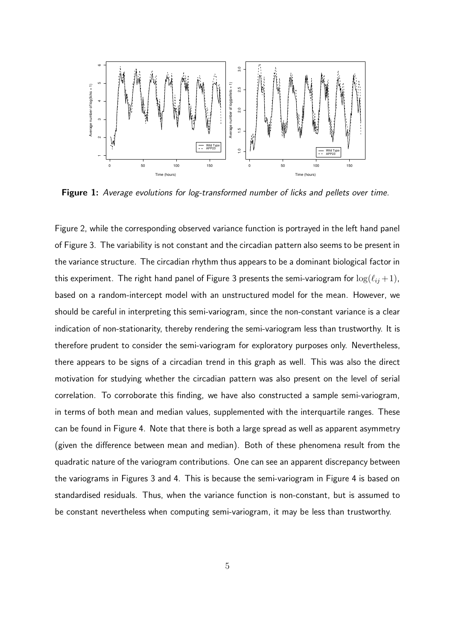

Figure 1: Average evolutions for log-transformed number of licks and pellets over time.

Figure 2, while the corresponding observed variance function is portrayed in the left hand panel of Figure 3. The variability is not constant and the circadian pattern also seems to be present in the variance structure. The circadian rhythm thus appears to be a dominant biological factor in this experiment. The right hand panel of Figure 3 presents the semi-variogram for  $\log(\ell_{ij} + 1)$ , based on a random-intercept model with an unstructured model for the mean. However, we should be careful in interpreting this semi-variogram, since the non-constant variance is a clear indication of non-stationarity, thereby rendering the semi-variogram less than trustworthy. It is therefore prudent to consider the semi-variogram for exploratory purposes only. Nevertheless, there appears to be signs of a circadian trend in this graph as well. This was also the direct motivation for studying whether the circadian pattern was also present on the level of serial correlation. To corroborate this finding, we have also constructed a sample semi-variogram, in terms of both mean and median values, supplemented with the interquartile ranges. These can be found in Figure 4. Note that there is both a large spread as well as apparent asymmetry (given the difference between mean and median). Both of these phenomena result from the quadratic nature of the variogram contributions. One can see an apparent discrepancy between the variograms in Figures 3 and 4. This is because the semi-variogram in Figure 4 is based on standardised residuals. Thus, when the variance function is non-constant, but is assumed to be constant nevertheless when computing semi-variogram, it may be less than trustworthy.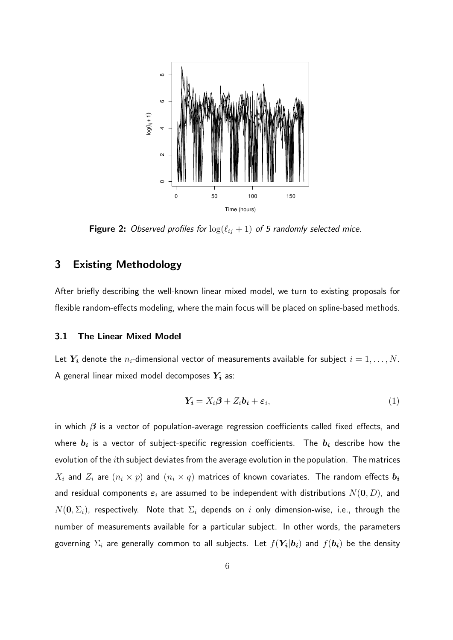

**Figure 2:** Observed profiles for  $\log(\ell_{ij} + 1)$  of 5 randomly selected mice.

# 3 Existing Methodology

After briefly describing the well-known linear mixed model, we turn to existing proposals for flexible random-effects modeling, where the main focus will be placed on spline-based methods.

#### 3.1 The Linear Mixed Model

Let  $Y_i$  denote the  $n_i$ -dimensional vector of measurements available for subject  $i = 1, \ldots, N$ . A general linear mixed model decomposes  $Y_i$  as:

$$
Y_i = X_i \boldsymbol{\beta} + Z_i \boldsymbol{b}_i + \boldsymbol{\varepsilon}_i,\tag{1}
$$

in which  $\beta$  is a vector of population-average regression coefficients called fixed effects, and where  $b_i$  is a vector of subject-specific regression coefficients. The  $b_i$  describe how the evolution of the  $i$ th subject deviates from the average evolution in the population. The matrices  $X_i$  and  $Z_i$  are  $(n_i \times p)$  and  $(n_i \times q)$  matrices of known covariates. The random effects  $\boldsymbol{b_i}$ and residual components  $\boldsymbol{\varepsilon}_i$  are assumed to be independent with distributions  $N(\mathbf{0}, D)$ , and  $N(\mathbf{0}, \Sigma_i)$ , respectively. Note that  $\Sigma_i$  depends on i only dimension-wise, i.e., through the number of measurements available for a particular subject. In other words, the parameters governing  $\Sigma_i$  are generally common to all subjects. Let  $f(Y_i|b_i)$  and  $f(b_i)$  be the density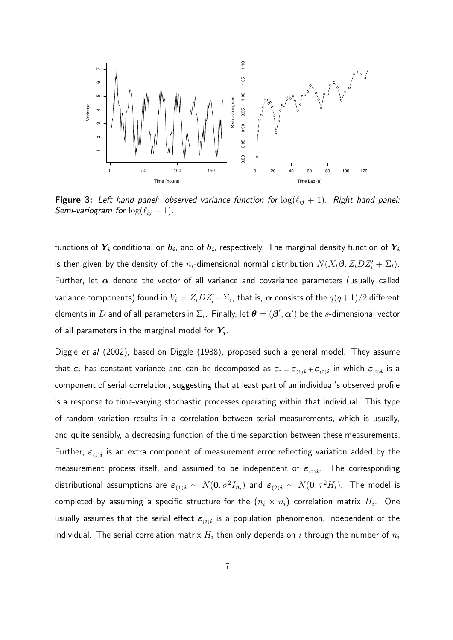

**Figure 3:** Left hand panel: observed variance function for  $\log(\ell_{ij} + 1)$ . Right hand panel: Semi-variogram for  $\log(\ell_{ij} + 1)$ .

functions of  $Y_i$  conditional on  $b_i$ , and of  $b_i$ , respectively. The marginal density function of  $Y_i$ is then given by the density of the  $n_i$ -dimensional normal distribution  $N(X_i\boldsymbol{\beta}, Z_i DZ_i' + \Sigma_i)$ . Further, let  $\alpha$  denote the vector of all variance and covariance parameters (usually called variance components) found in  $V_i = Z_i D Z_i' + \Sigma_i$ , that is,  $\boldsymbol{\alpha}$  consists of the  $q(q+1)/2$  different elements in  $D$  and of all parameters in  $\Sigma_i.$  Finally, let  $\bm{\theta}=(\bm{\beta}',\bm{\alpha}')$  be the  $s$ -dimensional vector of all parameters in the marginal model for  $Y_i$ .

Diggle et al (2002), based on Diggle (1988), proposed such a general model. They assume that  $\varepsilon_i$  has constant variance and can be decomposed as  $\varepsilon_i = \varepsilon_{(1)i} + \varepsilon_{(2)i}$  in which  $\varepsilon_{(2)i}$  is a component of serial correlation, suggesting that at least part of an individual's observed profile is a response to time-varying stochastic processes operating within that individual. This type of random variation results in a correlation between serial measurements, which is usually, and quite sensibly, a decreasing function of the time separation between these measurements. Further,  $\varepsilon_{_{(1)}i}$  is an extra component of measurement error reflecting variation added by the measurement process itself, and assumed to be independent of  $\varepsilon_{\scriptscriptstyle (2) i}$ . The corresponding distributional assumptions are  $\bm{\varepsilon}_{(1)i} \sim N(\bm{0}, \sigma^2 I_{n_i})$  and  $\bm{\varepsilon}_{(2)i} \sim N(\bm{0}, \tau^2 H_i)$ . The model is completed by assuming a specific structure for the  $(n_i \times n_i)$  correlation matrix  $H_i.$  One usually assumes that the serial effect  $\varepsilon_{\scriptscriptstyle (2) i}$  is a population phenomenon, independent of the individual. The serial correlation matrix  $H_i$  then only depends on i through the number of  $n_i$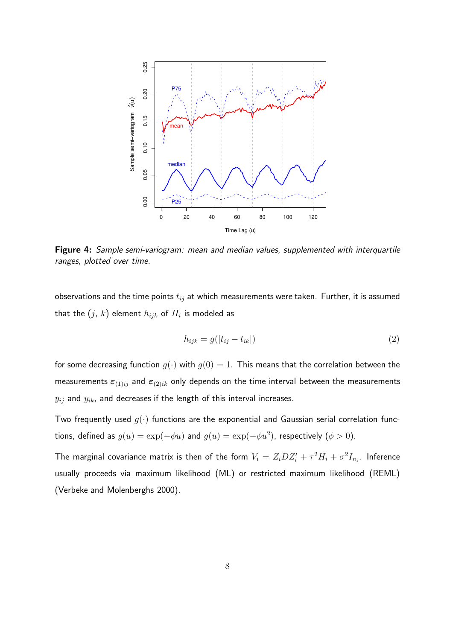

Figure 4: Sample semi-variogram: mean and median values, supplemented with interquartile ranges, plotted over time.

observations and the time points  $t_{ij}$  at which measurements were taken. Further, it is assumed that the  $(j,\,k)$  element  $h_{ijk}$  of  $H_i$  is modeled as

$$
h_{ijk} = g(|t_{ij} - t_{ik}|) \tag{2}
$$

for some decreasing function  $g(\cdot)$  with  $g(0) = 1$ . This means that the correlation between the measurements  $\varepsilon_{(1)ij}$  and  $\varepsilon_{(2)ik}$  only depends on the time interval between the measurements  $y_{ij}$  and  $y_{ik}$ , and decreases if the length of this interval increases.

Two frequently used  $g(\cdot)$  functions are the exponential and Gaussian serial correlation functions, defined as  $g(u) = \exp(-\phi u)$  and  $g(u) = \exp(-\phi u^2)$ , respectively  $(\phi > 0)$ .

The marginal covariance matrix is then of the form  $V_i = Z_i D Z_i' + \tau^2 H_i + \sigma^2 I_{n_i}$ . Inference usually proceeds via maximum likelihood (ML) or restricted maximum likelihood (REML) (Verbeke and Molenberghs 2000).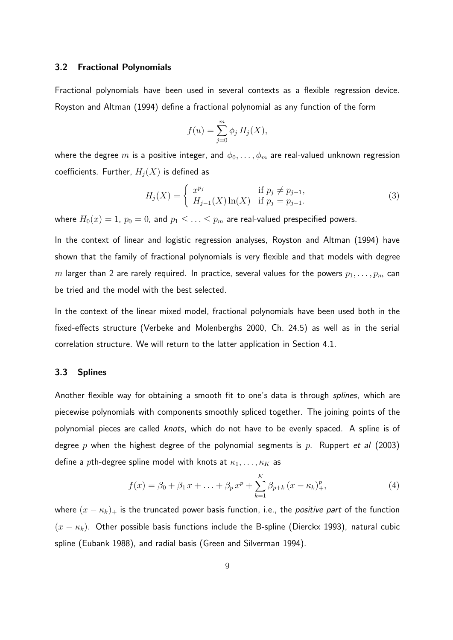#### 3.2 Fractional Polynomials

Fractional polynomials have been used in several contexts as a flexible regression device. Royston and Altman (1994) define a fractional polynomial as any function of the form

$$
f(u) = \sum_{j=0}^{m} \phi_j H_j(X),
$$

where the degree  $m$  is a positive integer, and  $\phi_0, \ldots, \phi_m$  are real-valued unknown regression coefficients. Further,  $H_i(X)$  is defined as

$$
H_j(X) = \begin{cases} x^{p_j} & \text{if } p_j \neq p_{j-1}, \\ H_{j-1}(X) \ln(X) & \text{if } p_j = p_{j-1}. \end{cases}
$$
 (3)

where  $H_0(x) = 1$ ,  $p_0 = 0$ , and  $p_1 \leq \ldots \leq p_m$  are real-valued prespecified powers.

In the context of linear and logistic regression analyses, Royston and Altman (1994) have shown that the family of fractional polynomials is very flexible and that models with degree m larger than 2 are rarely required. In practice, several values for the powers  $p_1, \ldots, p_m$  can be tried and the model with the best selected.

In the context of the linear mixed model, fractional polynomials have been used both in the fixed-effects structure (Verbeke and Molenberghs 2000, Ch. 24.5) as well as in the serial correlation structure. We will return to the latter application in Section 4.1.

#### 3.3 Splines

Another flexible way for obtaining a smooth fit to one's data is through splines, which are piecewise polynomials with components smoothly spliced together. The joining points of the polynomial pieces are called *knots*, which do not have to be evenly spaced. A spline is of degree p when the highest degree of the polynomial segments is p. Ruppert *et al* (2003) define a pth-degree spline model with knots at  $\kappa_1, \ldots, \kappa_K$  as

$$
f(x) = \beta_0 + \beta_1 x + \ldots + \beta_p x^p + \sum_{k=1}^{K} \beta_{p+k} (x - \kappa_k)_+^p, \tag{4}
$$

where  $(x - \kappa_k)_+$  is the truncated power basis function, i.e., the *positive part* of the function  $(x - \kappa_k)$ . Other possible basis functions include the B-spline (Dierckx 1993), natural cubic spline (Eubank 1988), and radial basis (Green and Silverman 1994).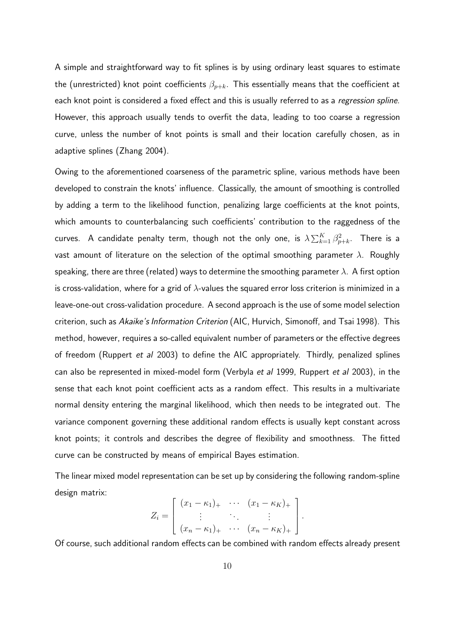A simple and straightforward way to fit splines is by using ordinary least squares to estimate the (unrestricted) knot point coefficients  $\beta_{p+k}$ . This essentially means that the coefficient at each knot point is considered a fixed effect and this is usually referred to as a regression spline. However, this approach usually tends to overfit the data, leading to too coarse a regression curve, unless the number of knot points is small and their location carefully chosen, as in adaptive splines (Zhang 2004).

Owing to the aforementioned coarseness of the parametric spline, various methods have been developed to constrain the knots' influence. Classically, the amount of smoothing is controlled by adding a term to the likelihood function, penalizing large coefficients at the knot points, which amounts to counterbalancing such coefficients' contribution to the raggedness of the curves. A candidate penalty term, though not the only one, is  $\lambda \sum_{k=1}^K \beta_{p+k}^2.$  There is a vast amount of literature on the selection of the optimal smoothing parameter  $\lambda$ . Roughly speaking, there are three (related) ways to determine the smoothing parameter  $\lambda$ . A first option is cross-validation, where for a grid of  $\lambda$ -values the squared error loss criterion is minimized in a leave-one-out cross-validation procedure. A second approach is the use of some model selection criterion, such as Akaike's Information Criterion (AIC, Hurvich, Simonoff, and Tsai 1998). This method, however, requires a so-called equivalent number of parameters or the effective degrees of freedom (Ruppert et al 2003) to define the AIC appropriately. Thirdly, penalized splines can also be represented in mixed-model form (Verbyla *et al 1999*, Ruppert *et al 2003*), in the sense that each knot point coefficient acts as a random effect. This results in a multivariate normal density entering the marginal likelihood, which then needs to be integrated out. The variance component governing these additional random effects is usually kept constant across knot points; it controls and describes the degree of flexibility and smoothness. The fitted curve can be constructed by means of empirical Bayes estimation.

The linear mixed model representation can be set up by considering the following random-spline design matrix:

$$
Z_i = \begin{bmatrix} (x_1 - \kappa_1)_+ & \cdots & (x_1 - \kappa_K)_+ \\ \vdots & \ddots & \vdots \\ (x_n - \kappa_1)_+ & \cdots & (x_n - \kappa_K)_+ \end{bmatrix}.
$$

Of course, such additional random effects can be combined with random effects already present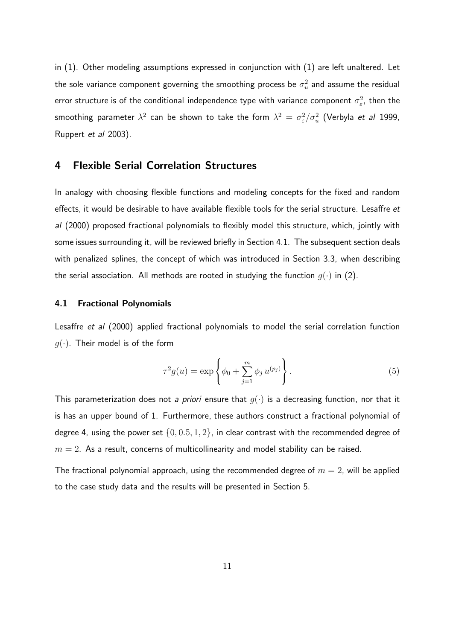in (1). Other modeling assumptions expressed in conjunction with (1) are left unaltered. Let the sole variance component governing the smoothing process be  $\sigma^2_u$  and assume the residual error structure is of the conditional independence type with variance component  $\sigma_{\varepsilon}^2$ , then the smoothing parameter  $\lambda^2$  can be shown to take the form  $\lambda^2\,=\,\sigma_\varepsilon^2/\sigma_u^2$  (Verbyla *et al* 1999, Ruppert et al 2003).

## 4 Flexible Serial Correlation Structures

In analogy with choosing flexible functions and modeling concepts for the fixed and random effects, it would be desirable to have available flexible tools for the serial structure. Lesaffre et al (2000) proposed fractional polynomials to flexibly model this structure, which, jointly with some issues surrounding it, will be reviewed briefly in Section 4.1. The subsequent section deals with penalized splines, the concept of which was introduced in Section 3.3, when describing the serial association. All methods are rooted in studying the function  $q(\cdot)$  in (2).

#### 4.1 Fractional Polynomials

Lesaffre et al (2000) applied fractional polynomials to model the serial correlation function  $q(\cdot)$ . Their model is of the form

$$
\tau^2 g(u) = \exp\left\{\phi_0 + \sum_{j=1}^m \phi_j u^{(p_j)}\right\}.
$$
\n(5)

This parameterization does not a priori ensure that  $g(\cdot)$  is a decreasing function, nor that it is has an upper bound of 1. Furthermore, these authors construct a fractional polynomial of degree 4, using the power set  $\{0, 0.5, 1, 2\}$ , in clear contrast with the recommended degree of  $m = 2$ . As a result, concerns of multicollinearity and model stability can be raised.

The fractional polynomial approach, using the recommended degree of  $m = 2$ , will be applied to the case study data and the results will be presented in Section 5.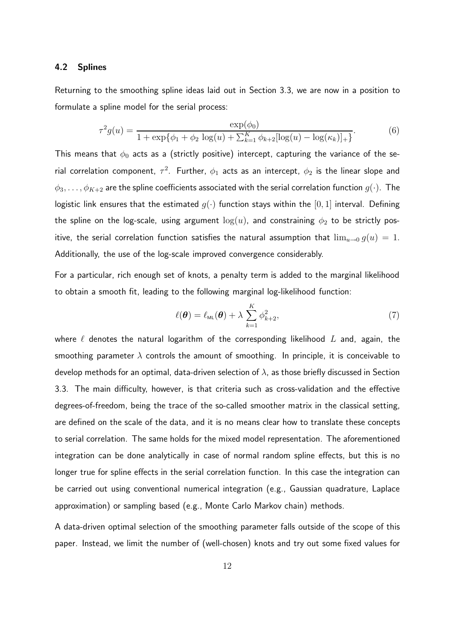#### 4.2 Splines

Returning to the smoothing spline ideas laid out in Section 3.3, we are now in a position to formulate a spline model for the serial process:

$$
\tau^2 g(u) = \frac{\exp(\phi_0)}{1 + \exp\{\phi_1 + \phi_2 \log(u) + \sum_{k=1}^K \phi_{k+2}[\log(u) - \log(\kappa_k)]_+\}}.\tag{6}
$$

This means that  $\phi_0$  acts as a (strictly positive) intercept, capturing the variance of the serial correlation component,  $\tau^2$ . Further,  $\phi_1$  acts as an intercept,  $\phi_2$  is the linear slope and  $\phi_3,\ldots,\phi_{K+2}$  are the spline coefficients associated with the serial correlation function  $g(\cdot)$ . The logistic link ensures that the estimated  $q(\cdot)$  function stays within the [0, 1] interval. Defining the spline on the log-scale, using argument  $\log(u)$ , and constraining  $\phi_2$  to be strictly positive, the serial correlation function satisfies the natural assumption that  $\lim_{u\to 0} g(u) = 1$ . Additionally, the use of the log-scale improved convergence considerably.

For a particular, rich enough set of knots, a penalty term is added to the marginal likelihood to obtain a smooth fit, leading to the following marginal log-likelihood function:

$$
\ell(\boldsymbol{\theta}) = \ell_{\text{ML}}(\boldsymbol{\theta}) + \lambda \sum_{k=1}^{K} \phi_{k+2}^2,
$$
\n(7)

where  $\ell$  denotes the natural logarithm of the corresponding likelihood L and, again, the smoothing parameter  $\lambda$  controls the amount of smoothing. In principle, it is conceivable to develop methods for an optimal, data-driven selection of  $\lambda$ , as those briefly discussed in Section 3.3. The main difficulty, however, is that criteria such as cross-validation and the effective degrees-of-freedom, being the trace of the so-called smoother matrix in the classical setting, are defined on the scale of the data, and it is no means clear how to translate these concepts to serial correlation. The same holds for the mixed model representation. The aforementioned integration can be done analytically in case of normal random spline effects, but this is no longer true for spline effects in the serial correlation function. In this case the integration can be carried out using conventional numerical integration (e.g., Gaussian quadrature, Laplace approximation) or sampling based (e.g., Monte Carlo Markov chain) methods.

A data-driven optimal selection of the smoothing parameter falls outside of the scope of this paper. Instead, we limit the number of (well-chosen) knots and try out some fixed values for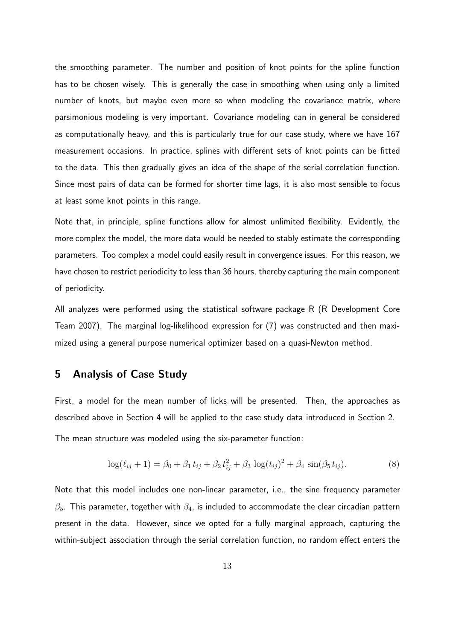the smoothing parameter. The number and position of knot points for the spline function has to be chosen wisely. This is generally the case in smoothing when using only a limited number of knots, but maybe even more so when modeling the covariance matrix, where parsimonious modeling is very important. Covariance modeling can in general be considered as computationally heavy, and this is particularly true for our case study, where we have 167 measurement occasions. In practice, splines with different sets of knot points can be fitted to the data. This then gradually gives an idea of the shape of the serial correlation function. Since most pairs of data can be formed for shorter time lags, it is also most sensible to focus at least some knot points in this range.

Note that, in principle, spline functions allow for almost unlimited flexibility. Evidently, the more complex the model, the more data would be needed to stably estimate the corresponding parameters. Too complex a model could easily result in convergence issues. For this reason, we have chosen to restrict periodicity to less than 36 hours, thereby capturing the main component of periodicity.

All analyzes were performed using the statistical software package R (R Development Core Team 2007). The marginal log-likelihood expression for (7) was constructed and then maximized using a general purpose numerical optimizer based on a quasi-Newton method.

## 5 Analysis of Case Study

First, a model for the mean number of licks will be presented. Then, the approaches as described above in Section 4 will be applied to the case study data introduced in Section 2.

The mean structure was modeled using the six-parameter function:

$$
\log(\ell_{ij} + 1) = \beta_0 + \beta_1 t_{ij} + \beta_2 t_{ij}^2 + \beta_3 \log(t_{ij})^2 + \beta_4 \sin(\beta_5 t_{ij}).
$$
\n(8)

Note that this model includes one non-linear parameter, i.e., the sine frequency parameter  $\beta_5$ . This parameter, together with  $\beta_4$ , is included to accommodate the clear circadian pattern present in the data. However, since we opted for a fully marginal approach, capturing the within-subject association through the serial correlation function, no random effect enters the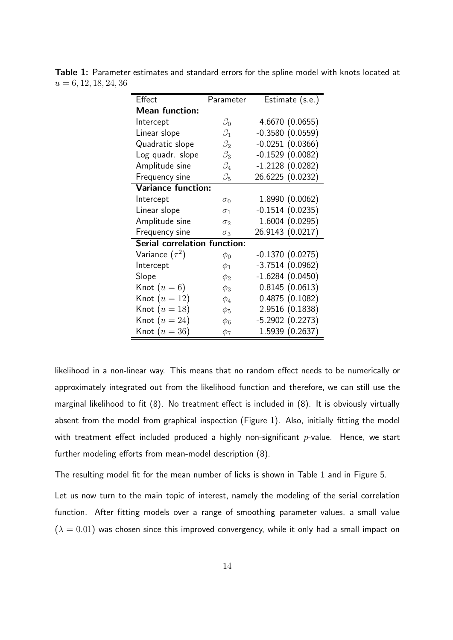| Effect                              | Parameter  | Estimate (s.e.)   |  |  |  |  |  |  |  |
|-------------------------------------|------------|-------------------|--|--|--|--|--|--|--|
| <b>Mean function:</b>               |            |                   |  |  |  |  |  |  |  |
| Intercept                           | $\beta_0$  | 4.6670 (0.0655)   |  |  |  |  |  |  |  |
| Linear slope                        | $\beta_1$  | $-0.3580(0.0559)$ |  |  |  |  |  |  |  |
| Quadratic slope                     | $\beta_2$  | $-0.0251(0.0366)$ |  |  |  |  |  |  |  |
| Log quadr. slope                    | $\beta_3$  | $-0.1529(0.0082)$ |  |  |  |  |  |  |  |
| Amplitude sine                      | $\beta_4$  | $-1.2128(0.0282)$ |  |  |  |  |  |  |  |
| Frequency sine                      | $\beta_5$  | 26.6225 (0.0232)  |  |  |  |  |  |  |  |
| <b>Variance function:</b>           |            |                   |  |  |  |  |  |  |  |
| Intercept                           | $\sigma_0$ | 1.8990 (0.0062)   |  |  |  |  |  |  |  |
| Linear slope                        | $\sigma_1$ | $-0.1514(0.0235)$ |  |  |  |  |  |  |  |
| Amplitude sine                      | $\sigma_2$ | 1.6004 (0.0295)   |  |  |  |  |  |  |  |
| Frequency sine                      | $\sigma_3$ | 26.9143 (0.0217)  |  |  |  |  |  |  |  |
| <b>Serial correlation function:</b> |            |                   |  |  |  |  |  |  |  |
| Variance $(\tau^2)$                 | $\phi_0$   | $-0.1370(0.0275)$ |  |  |  |  |  |  |  |
| Intercept                           | $\phi_1$   | $-3.7514(0.0962)$ |  |  |  |  |  |  |  |
| Slope                               | $\phi_2$   | $-1.6284(0.0450)$ |  |  |  |  |  |  |  |
| Knot $(u=6)$                        | $\phi_3$   | 0.8145(0.0613)    |  |  |  |  |  |  |  |
| Knot $(u=12)$                       | $\phi_4$   | 0.4875(0.1082)    |  |  |  |  |  |  |  |
| Knot ( $u=18$ )                     | $\phi_5$   | 2.9516 (0.1838)   |  |  |  |  |  |  |  |
| Knot $(u=24)$                       | $\phi_6$   | $-5.2902(0.2273)$ |  |  |  |  |  |  |  |
| Knot $(u=36)$                       | $\phi_7$   | 1.5939 (0.2637)   |  |  |  |  |  |  |  |

Table 1: Parameter estimates and standard errors for the spline model with knots located at  $u = 6, 12, 18, 24, 36$ 

likelihood in a non-linear way. This means that no random effect needs to be numerically or approximately integrated out from the likelihood function and therefore, we can still use the marginal likelihood to fit (8). No treatment effect is included in (8). It is obviously virtually absent from the model from graphical inspection (Figure 1). Also, initially fitting the model with treatment effect included produced a highly non-significant  $p$ -value. Hence, we start further modeling efforts from mean-model description (8).

The resulting model fit for the mean number of licks is shown in Table 1 and in Figure 5.

Let us now turn to the main topic of interest, namely the modeling of the serial correlation function. After fitting models over a range of smoothing parameter values, a small value  $(\lambda = 0.01)$  was chosen since this improved convergency, while it only had a small impact on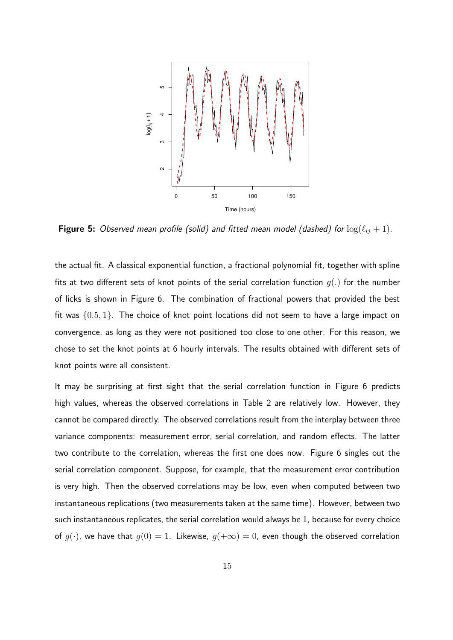

**Figure 5:** Observed mean profile (solid) and fitted mean model (dashed) for  $\log(\ell_{ij} + 1)$ .

the actual fit. A classical exponential function, a fractional polynomial fit, together with spline fits at two different sets of knot points of the serial correlation function  $q(.)$  for the number of licks is shown in Figure 6. The combination of fractional powers that provided the best fit was  $\{0.5, 1\}$ . The choice of knot point locations did not seem to have a large impact on convergence, as long as they were not positioned too close to one other. For this reason, we chose to set the knot points at 6 hourly intervals. The results obtained with different sets of knot points were all consistent.

It may be surprising at first sight that the serial correlation function in Figure 6 predicts high values, whereas the observed correlations in Table 2 are relatively low. However, they cannot be compared directly. The observed correlations result from the interplay between three variance components: measurement error, serial correlation, and random effects. The latter two contribute to the correlation, whereas the first one does now. Figure 6 singles out the serial correlation component. Suppose, for example, that the measurement error contribution is very high. Then the observed correlations may be low, even when computed between two instantaneous replications (two measurements taken at the same time). However, between two such instantaneous replicates, the serial correlation would always be 1, because for every choice of  $g(\cdot)$ , we have that  $g(0) = 1$ . Likewise,  $g(+\infty) = 0$ , even though the observed correlation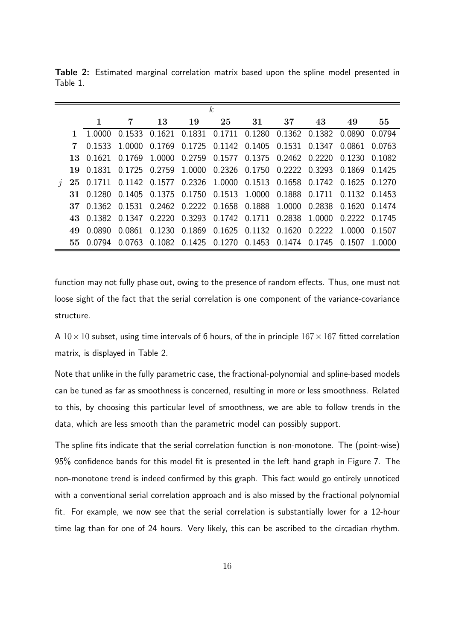| $\boldsymbol{k}$ |     |                                                                          |   |       |  |          |  |  |       |                                                                        |    |
|------------------|-----|--------------------------------------------------------------------------|---|-------|--|----------|--|--|-------|------------------------------------------------------------------------|----|
|                  |     |                                                                          | 7 | 13 19 |  | 25 31 37 |  |  | 43 49 |                                                                        | 55 |
|                  |     | - 1.0000-                                                                |   |       |  |          |  |  |       | 0.1533  0.1621  0.1831  0.1711  0.1280  0.1362  0.1382  0.0890  0.0794 |    |
|                  |     | 7 0.1533 1.0000 0.1769 0.1725 0.1142 0.1405 0.1531 0.1347 0.0861 0.0763  |   |       |  |          |  |  |       |                                                                        |    |
|                  |     | 13 0 1621                                                                |   |       |  |          |  |  |       | 0.1769 1.0000 0.2759 0.1577 0.1375 0.2462 0.2220 0.1230 0.1082         |    |
|                  |     | 19 0.1831 0.1725 0.2759 1.0000 0.2326 0.1750 0.2222 0.3293 0.1869 0.1425 |   |       |  |          |  |  |       |                                                                        |    |
|                  |     | 25 0.1711 0.1142 0.1577 0.2326 1.0000 0.1513 0.1658 0.1742 0.1625 0.1270 |   |       |  |          |  |  |       |                                                                        |    |
|                  |     | 31 0.1280 0.1405 0.1375 0.1750 0.1513 1.0000 0.1888 0.1711 0.1132 0.1453 |   |       |  |          |  |  |       |                                                                        |    |
|                  |     | 37 0.1362 0.1531 0.2462 0.2222 0.1658 0.1888 1.0000 0.2838 0.1620 0.1474 |   |       |  |          |  |  |       |                                                                        |    |
|                  |     | 43 0.1382 0.1347 0.2220 0.3293 0.1742 0.1711 0.2838 1.0000 0.2222 0.1745 |   |       |  |          |  |  |       |                                                                        |    |
|                  | 49. | 0 0890 L                                                                 |   |       |  |          |  |  |       | 0.0861 0.1230 0.1869 0.1625 0.1132 0.1620 0.2222 1.0000 0.1507         |    |
|                  | 55. | 0.0794                                                                   |   |       |  |          |  |  |       | 0.0763 0.1082 0.1425 0.1270 0.1453 0.1474 0.1745 0.1507 1.0000         |    |

Table 2: Estimated marginal correlation matrix based upon the spline model presented in Table 1.

function may not fully phase out, owing to the presence of random effects. Thus, one must not loose sight of the fact that the serial correlation is one component of the variance-covariance structure.

A  $10 \times 10$  subset, using time intervals of 6 hours, of the in principle  $167 \times 167$  fitted correlation matrix, is displayed in Table 2.

Note that unlike in the fully parametric case, the fractional-polynomial and spline-based models can be tuned as far as smoothness is concerned, resulting in more or less smoothness. Related to this, by choosing this particular level of smoothness, we are able to follow trends in the data, which are less smooth than the parametric model can possibly support.

The spline fits indicate that the serial correlation function is non-monotone. The (point-wise) 95% confidence bands for this model fit is presented in the left hand graph in Figure 7. The non-monotone trend is indeed confirmed by this graph. This fact would go entirely unnoticed with a conventional serial correlation approach and is also missed by the fractional polynomial fit. For example, we now see that the serial correlation is substantially lower for a 12-hour time lag than for one of 24 hours. Very likely, this can be ascribed to the circadian rhythm.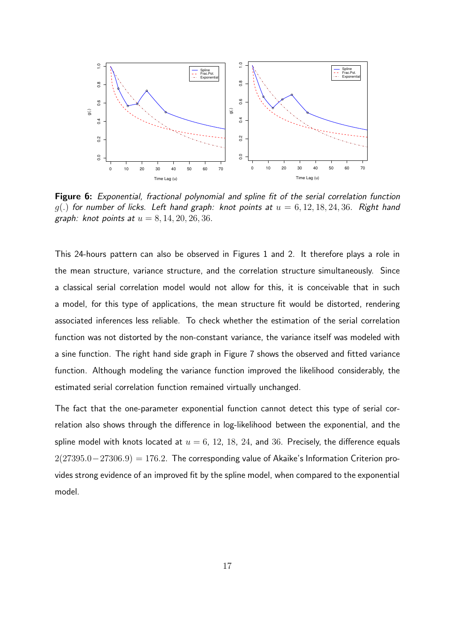

Figure 6: Exponential, fractional polynomial and spline fit of the serial correlation function  $g(.)$  for number of licks. Left hand graph: knot points at  $u = 6, 12, 18, 24, 36$ . Right hand graph: knot points at  $u = 8, 14, 20, 26, 36$ .

This 24-hours pattern can also be observed in Figures 1 and 2. It therefore plays a role in the mean structure, variance structure, and the correlation structure simultaneously. Since a classical serial correlation model would not allow for this, it is conceivable that in such a model, for this type of applications, the mean structure fit would be distorted, rendering associated inferences less reliable. To check whether the estimation of the serial correlation function was not distorted by the non-constant variance, the variance itself was modeled with a sine function. The right hand side graph in Figure 7 shows the observed and fitted variance function. Although modeling the variance function improved the likelihood considerably, the estimated serial correlation function remained virtually unchanged.

The fact that the one-parameter exponential function cannot detect this type of serial correlation also shows through the difference in log-likelihood between the exponential, and the spline model with knots located at  $u = 6$ , 12, 18, 24, and 36. Precisely, the difference equals  $2(27395.0-27306.9) = 176.2$ . The corresponding value of Akaike's Information Criterion provides strong evidence of an improved fit by the spline model, when compared to the exponential model.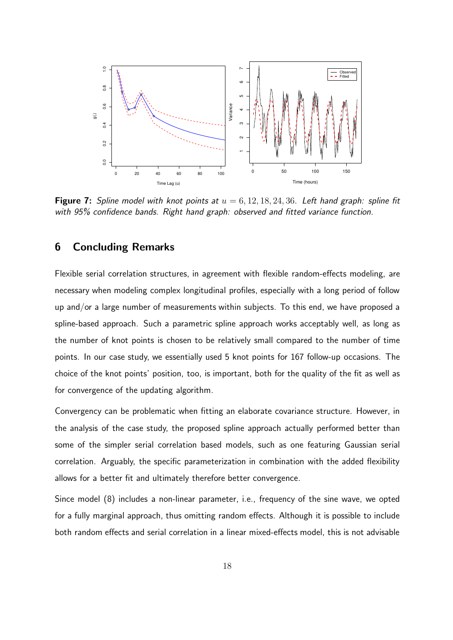

**Figure 7:** Spline model with knot points at  $u = 6, 12, 18, 24, 36$ . Left hand graph: spline fit with 95% confidence bands. Right hand graph: observed and fitted variance function.

# 6 Concluding Remarks

Flexible serial correlation structures, in agreement with flexible random-effects modeling, are necessary when modeling complex longitudinal profiles, especially with a long period of follow up and/or a large number of measurements within subjects. To this end, we have proposed a spline-based approach. Such a parametric spline approach works acceptably well, as long as the number of knot points is chosen to be relatively small compared to the number of time points. In our case study, we essentially used 5 knot points for 167 follow-up occasions. The choice of the knot points' position, too, is important, both for the quality of the fit as well as for convergence of the updating algorithm.

Convergency can be problematic when fitting an elaborate covariance structure. However, in the analysis of the case study, the proposed spline approach actually performed better than some of the simpler serial correlation based models, such as one featuring Gaussian serial correlation. Arguably, the specific parameterization in combination with the added flexibility allows for a better fit and ultimately therefore better convergence.

Since model (8) includes a non-linear parameter, i.e., frequency of the sine wave, we opted for a fully marginal approach, thus omitting random effects. Although it is possible to include both random effects and serial correlation in a linear mixed-effects model, this is not advisable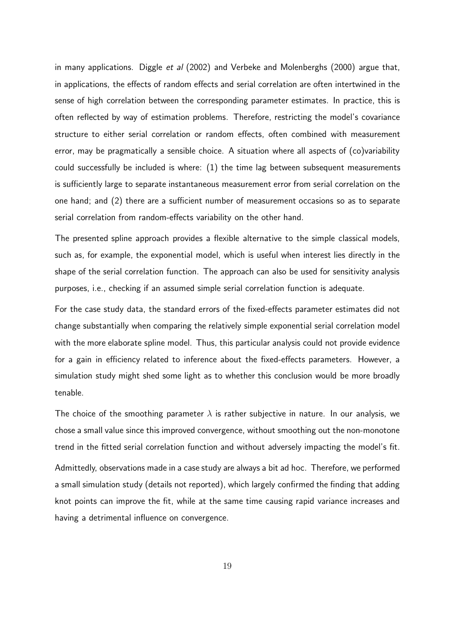in many applications. Diggle et al (2002) and Verbeke and Molenberghs (2000) argue that, in applications, the effects of random effects and serial correlation are often intertwined in the sense of high correlation between the corresponding parameter estimates. In practice, this is often reflected by way of estimation problems. Therefore, restricting the model's covariance structure to either serial correlation or random effects, often combined with measurement error, may be pragmatically a sensible choice. A situation where all aspects of (co)variability could successfully be included is where: (1) the time lag between subsequent measurements is sufficiently large to separate instantaneous measurement error from serial correlation on the one hand; and (2) there are a sufficient number of measurement occasions so as to separate serial correlation from random-effects variability on the other hand.

The presented spline approach provides a flexible alternative to the simple classical models, such as, for example, the exponential model, which is useful when interest lies directly in the shape of the serial correlation function. The approach can also be used for sensitivity analysis purposes, i.e., checking if an assumed simple serial correlation function is adequate.

For the case study data, the standard errors of the fixed-effects parameter estimates did not change substantially when comparing the relatively simple exponential serial correlation model with the more elaborate spline model. Thus, this particular analysis could not provide evidence for a gain in efficiency related to inference about the fixed-effects parameters. However, a simulation study might shed some light as to whether this conclusion would be more broadly tenable.

The choice of the smoothing parameter  $\lambda$  is rather subjective in nature. In our analysis, we chose a small value since this improved convergence, without smoothing out the non-monotone trend in the fitted serial correlation function and without adversely impacting the model's fit.

Admittedly, observations made in a case study are always a bit ad hoc. Therefore, we performed a small simulation study (details not reported), which largely confirmed the finding that adding knot points can improve the fit, while at the same time causing rapid variance increases and having a detrimental influence on convergence.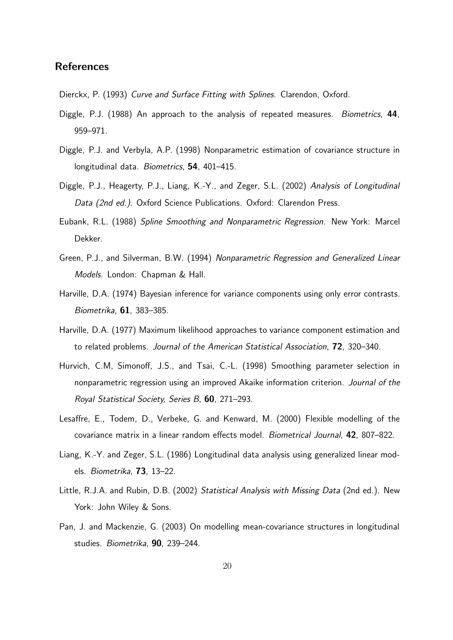## **References**

- Dierckx, P. (1993) Curve and Surface Fitting with Splines. Clarendon, Oxford.
- Diggle, P.J. (1988) An approach to the analysis of repeated measures. Biometrics, 44, 959–971.
- Diggle, P.J. and Verbyla, A.P. (1998) Nonparametric estimation of covariance structure in longitudinal data. Biometrics, 54, 401-415.
- Diggle, P.J., Heagerty, P.J., Liang, K.-Y., and Zeger, S.L. (2002) Analysis of Longitudinal Data (2nd ed.). Oxford Science Publications. Oxford: Clarendon Press.
- Eubank, R.L. (1988) Spline Smoothing and Nonparametric Regression. New York: Marcel Dekker.
- Green, P.J., and Silverman, B.W. (1994) Nonparametric Regression and Generalized Linear Models. London: Chapman & Hall.
- Harville, D.A. (1974) Bayesian inference for variance components using only error contrasts. Biometrika, 61, 383–385.
- Harville, D.A. (1977) Maximum likelihood approaches to variance component estimation and to related problems. Journal of the American Statistical Association, 72, 320–340.
- Hurvich, C.M, Simonoff, J.S., and Tsai, C.-L. (1998) Smoothing parameter selection in nonparametric regression using an improved Akaike information criterion. Journal of the Royal Statistical Society, Series B, 60, 271–293.
- Lesaffre, E., Todem, D., Verbeke, G. and Kenward, M. (2000) Flexible modelling of the covariance matrix in a linear random effects model. Biometrical Journal, 42, 807–822.
- Liang, K.-Y. and Zeger, S.L. (1986) Longitudinal data analysis using generalized linear models. Biometrika, 73, 13–22.
- Little, R.J.A. and Rubin, D.B. (2002) Statistical Analysis with Missing Data (2nd ed.). New York: John Wiley & Sons.
- Pan, J. and Mackenzie, G. (2003) On modelling mean-covariance structures in longitudinal studies. Biometrika, 90, 239–244.